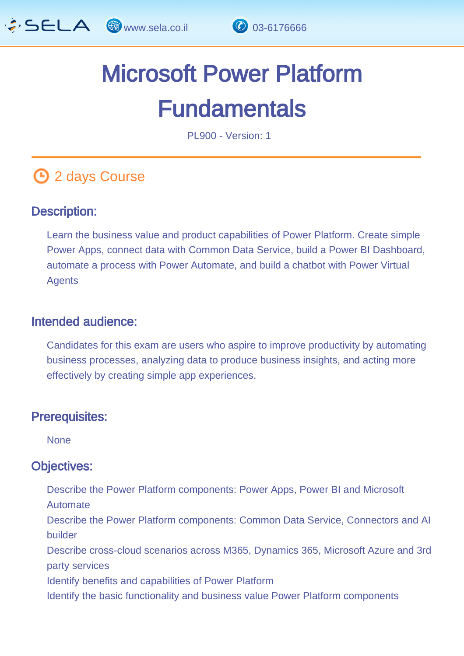

# Microsoft Power Platform **Fundamentals**

PL900 - Version: 1

## **1** 2 days Course

#### Description: Ĩ

Learn the business value and product capabilities of Power Platform. Create simple Power Apps, connect data with Common Data Service, build a Power BI Dashboard, automate a process with Power Automate, and build a chatbot with Power Virtual Agents

#### Intended audience: ľ

Candidates for this exam are users who aspire to improve productivity by automating business processes, analyzing data to produce business insights, and acting more effectively by creating simple app experiences.

#### Prerequisites: L,

**None** 

#### Objectives: Ĭ

- Describe the Power Platform components: Power Apps, Power BI and Microsoft Automate
- Describe the Power Platform components: Common Data Service, Connectors and AI builder
- Describe cross-cloud scenarios across M365, Dynamics 365, Microsoft Azure and 3rd party services
- Identify benefits and capabilities of Power Platform
- Identify the basic functionality and business value Power Platform components